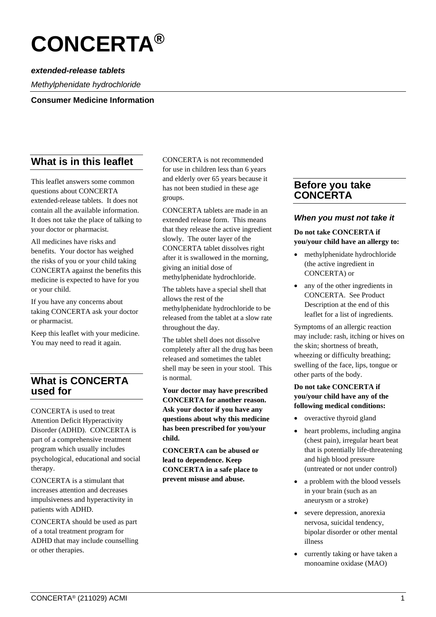# **CONCERTA®**

# *extended-release tablets*

*Methylphenidate hydrochloride*

#### **Consumer Medicine Information**

# **What is in this leaflet**

This leaflet answers some common questions about CONCERTA extended-release tablets. It does not contain all the available information. It does not take the place of talking to your doctor or pharmacist.

All medicines have risks and benefits. Your doctor has weighed the risks of you or your child taking CONCERTA against the benefits this medicine is expected to have for you or your child.

If you have any concerns about taking CONCERTA ask your doctor or pharmacist.

Keep this leaflet with your medicine. You may need to read it again.

# **What is CONCERTA used for**

CONCERTA is used to treat Attention Deficit Hyperactivity Disorder (ADHD). CONCERTA is part of a comprehensive treatment program which usually includes psychological, educational and social therapy.

CONCERTA is a stimulant that increases attention and decreases impulsiveness and hyperactivity in patients with ADHD.

CONCERTA should be used as part of a total treatment program for ADHD that may include counselling or other therapies.

CONCERTA is not recommended for use in children less than 6 years and elderly over 65 years because it has not been studied in these age groups.

CONCERTA tablets are made in an extended release form. This means that they release the active ingredient slowly. The outer layer of the CONCERTA tablet dissolves right after it is swallowed in the morning, giving an initial dose of methylphenidate hydrochloride.

The tablets have a special shell that allows the rest of the methylphenidate hydrochloride to be released from the tablet at a slow rate throughout the day.

The tablet shell does not dissolve completely after all the drug has been released and sometimes the tablet shell may be seen in your stool. This is normal.

**Your doctor may have prescribed CONCERTA for another reason. Ask your doctor if you have any questions about why this medicine has been prescribed for you/your child.**

**CONCERTA can be abused or lead to dependence. Keep CONCERTA in a safe place to prevent misuse and abuse.**

# **Before you take CONCERTA**

#### *When you must not take it*

**Do not take CONCERTA if you/your child have an allergy to:**

- methylphenidate hydrochloride (the active ingredient in CONCERTA) or
- any of the other ingredients in CONCERTA. See Product Description at the end of this leaflet for a list of ingredients.

Symptoms of an allergic reaction may include: rash, itching or hives on the skin; shortness of breath, wheezing or difficulty breathing; swelling of the face, lips, tongue or other parts of the body.

#### **Do not take CONCERTA if you/your child have any of the following medical conditions:**

- overactive thyroid gland
- heart problems, including angina (chest pain), irregular heart beat that is potentially life-threatening and high blood pressure (untreated or not under control)
- a problem with the blood vessels in your brain (such as an aneurysm or a stroke)
- severe depression, anorexia nervosa, suicidal tendency, bipolar disorder or other mental illness
- currently taking or have taken a monoamine oxidase (MAO)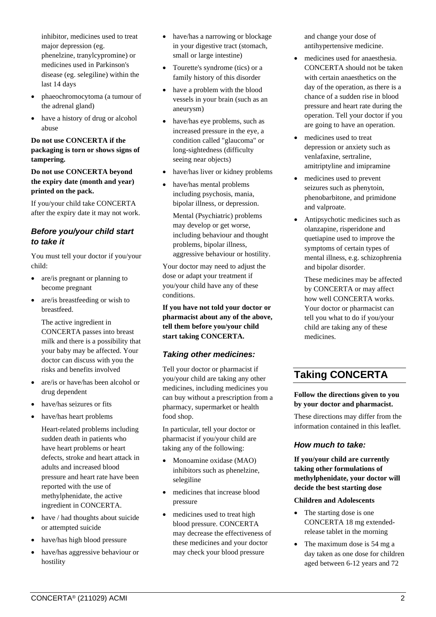inhibitor, medicines used to treat major depression (eg. phenelzine, tranylcypromine) or medicines used in Parkinson's disease (eg. selegiline) within the last 14 days

- phaeochromocytoma (a tumour of the adrenal gland)
- have a history of drug or alcohol abuse

#### **Do not use CONCERTA if the packaging is torn or shows signs of tampering.**

**Do not use CONCERTA beyond the expiry date (month and year) printed on the pack.**

If you/your child take CONCERTA after the expiry date it may not work.

## *Before you/your child start to take it*

You must tell your doctor if you/your child:

- are/is pregnant or planning to become pregnant
- are/is breastfeeding or wish to breastfeed.

The active ingredient in CONCERTA passes into breast milk and there is a possibility that your baby may be affected. Your doctor can discuss with you the risks and benefits involved

- are/is or have/has been alcohol or drug dependent
- have/has seizures or fits
- have/has heart problems

Heart-related problems including sudden death in patients who have heart problems or heart defects, stroke and heart attack in adults and increased blood pressure and heart rate have been reported with the use of methylphenidate, the active ingredient in CONCERTA.

- have / had thoughts about suicide or attempted suicide
- have/has high blood pressure
- have/has aggressive behaviour or hostility
- have/has a narrowing or blockage in your digestive tract (stomach, small or large intestine)
- Tourette's syndrome (tics) or a family history of this disorder
- have a problem with the blood vessels in your brain (such as an aneurysm)
- have/has eye problems, such as increased pressure in the eye, a condition called "glaucoma" or long-sightedness (difficulty seeing near objects)
- have/has liver or kidney problems
- have/has mental problems including psychosis, mania, bipolar illness, or depression.

Mental (Psychiatric) problems may develop or get worse, including behaviour and thought problems, bipolar illness, aggressive behaviour or hostility.

Your doctor may need to adjust the dose or adapt your treatment if you/your child have any of these conditions.

**If you have not told your doctor or pharmacist about any of the above, tell them before you/your child start taking CONCERTA.**

# *Taking other medicines:*

Tell your doctor or pharmacist if you/your child are taking any other medicines, including medicines you can buy without a prescription from a pharmacy, supermarket or health food shop.

In particular, tell your doctor or pharmacist if you/your child are taking any of the following:

- Monoamine oxidase (MAO) inhibitors such as phenelzine, selegiline
- medicines that increase blood pressure
- medicines used to treat high blood pressure. CONCERTA may decrease the effectiveness of these medicines and your doctor may check your blood pressure

and change your dose of antihypertensive medicine.

- medicines used for anaesthesia. CONCERTA should not be taken with certain anaesthetics on the day of the operation, as there is a chance of a sudden rise in blood pressure and heart rate during the operation. Tell your doctor if you are going to have an operation.
- medicines used to treat depression or anxiety such as venlafaxine, sertraline, amitriptyline and imipramine
- medicines used to prevent seizures such as phenytoin, phenobarbitone, and primidone and valproate.
- Antipsychotic medicines such as olanzapine, risperidone and quetiapine used to improve the symptoms of certain types of mental illness, e.g. schizophrenia and bipolar disorder.

These medicines may be affected by CONCERTA or may affect how well CONCERTA works. Your doctor or pharmacist can tell you what to do if you/your child are taking any of these medicines.

# **Taking CONCERTA**

**Follow the directions given to you by your doctor and pharmacist.**

These directions may differ from the information contained in this leaflet.

# *How much to take:*

**If you/your child are currently taking other formulations of methylphenidate, your doctor will decide the best starting dose**

#### **Children and Adolescents**

- The starting dose is one CONCERTA 18 mg extendedrelease tablet in the morning
- The maximum dose is 54 mg a day taken as one dose for children aged between 6-12 years and 72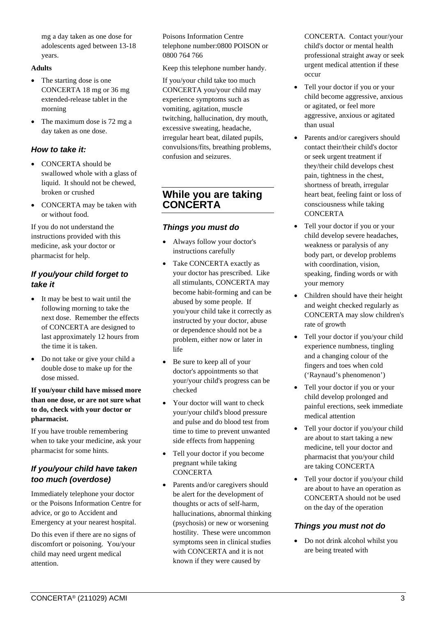mg a day taken as one dose for adolescents aged between 13-18 years.

#### **Adults**

- The starting dose is one CONCERTA 18 mg or 36 mg extended-release tablet in the morning
- The maximum dose is 72 mg a day taken as one dose.

## *How to take it:*

- CONCERTA should be swallowed whole with a glass of liquid. It should not be chewed, broken or crushed
- CONCERTA may be taken with or without food.

If you do not understand the instructions provided with this medicine, ask your doctor or pharmacist for help.

# *If you/your child forget to take it*

- It may be best to wait until the following morning to take the next dose. Remember the effects of CONCERTA are designed to last approximately 12 hours from the time it is taken.
- Do not take or give your child a double dose to make up for the dose missed.

#### **If you/your child have missed more than one dose, or are not sure what to do, check with your doctor or pharmacist.**

If you have trouble remembering when to take your medicine, ask your pharmacist for some hints.

# *If you/your child have taken too much (overdose)*

Immediately telephone your doctor or the Poisons Information Centre for advice, or go to Accident and Emergency at your nearest hospital.

Do this even if there are no signs of discomfort or poisoning. You/your child may need urgent medical attention.

Poisons Information Centre telephone number:0800 POISON or 0800 764 766

Keep this telephone number handy.

If you/your child take too much CONCERTA you/your child may experience symptoms such as vomiting, agitation, muscle twitching, hallucination, dry mouth, excessive sweating, headache, irregular heart beat, dilated pupils, convulsions/fits, breathing problems, confusion and seizures.

# **While you are taking CONCERTA**

# *Things you must do*

- Always follow your doctor's instructions carefully
- Take CONCERTA exactly as your doctor has prescribed. Like all stimulants, CONCERTA may become habit-forming and can be abused by some people. If you/your child take it correctly as instructed by your doctor, abuse or dependence should not be a problem, either now or later in life
- Be sure to keep all of your doctor's appointments so that your/your child's progress can be checked
- Your doctor will want to check your/your child's blood pressure and pulse and do blood test from time to time to prevent unwanted side effects from happening
- Tell your doctor if you become pregnant while taking **CONCERTA**
- Parents and/or caregivers should be alert for the development of thoughts or acts of self-harm, hallucinations, abnormal thinking (psychosis) or new or worsening hostility. These were uncommon symptoms seen in clinical studies with CONCERTA and it is not known if they were caused by

CONCERTA. Contact your/your child's doctor or mental health professional straight away or seek urgent medical attention if these occur

- Tell your doctor if you or your child become aggressive, anxious or agitated, or feel more aggressive, anxious or agitated than usual
- Parents and/or caregivers should contact their/their child's doctor or seek urgent treatment if they/their child develops chest pain, tightness in the chest, shortness of breath, irregular heart beat, feeling faint or loss of consciousness while taking **CONCERTA**
- Tell your doctor if you or your child develop severe headaches, weakness or paralysis of any body part, or develop problems with coordination, vision. speaking, finding words or with your memory
- Children should have their height and weight checked regularly as CONCERTA may slow children's rate of growth
- Tell your doctor if you/your child experience numbness, tingling and a changing colour of the fingers and toes when cold ('Raynaud's phenomenon')
- Tell your doctor if you or your child develop prolonged and painful erections, seek immediate medical attention
- Tell your doctor if you/your child are about to start taking a new medicine, tell your doctor and pharmacist that you/your child are taking CONCERTA
- Tell your doctor if you/your child are about to have an operation as CONCERTA should not be used on the day of the operation

# *Things you must not do*

• Do not drink alcohol whilst you are being treated with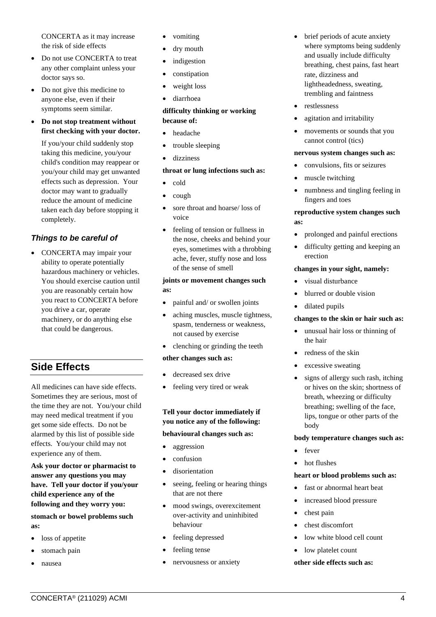CONCERTA as it may increase the risk of side effects

- Do not use CONCERTA to treat any other complaint unless your doctor says so.
- Do not give this medicine to anyone else, even if their symptoms seem similar.
- **Do not stop treatment without first checking with your doctor.**

If you/your child suddenly stop taking this medicine, you/your child's condition may reappear or you/your child may get unwanted effects such as depression. Your doctor may want to gradually reduce the amount of medicine taken each day before stopping it completely.

# *Things to be careful of*

• CONCERTA may impair your ability to operate potentially hazardous machinery or vehicles. You should exercise caution until you are reasonably certain how you react to CONCERTA before you drive a car, operate machinery, or do anything else that could be dangerous.

# **Side Effects**

All medicines can have side effects. Sometimes they are serious, most of the time they are not. You/your child may need medical treatment if you get some side effects. Do not be alarmed by this list of possible side effects. You/your child may not experience any of them.

**Ask your doctor or pharmacist to answer any questions you may have. Tell your doctor if you/your child experience any of the following and they worry you:**

**stomach or bowel problems such as:**

- loss of appetite
- stomach pain
- nausea
- vomiting
- dry mouth
- *indigestion*
- constipation
- weight loss
- diarrhoea

#### **difficulty thinking or working because of:**

- headache
- trouble sleeping
- dizziness

#### **throat or lung infections such as:**

- cold
- cough
- sore throat and hoarse/loss of voice
- feeling of tension or fullness in the nose, cheeks and behind your eyes, sometimes with a throbbing ache, fever, stuffy nose and loss of the sense of smell

#### **joints or movement changes such as:**

- painful and/ or swollen joints
- aching muscles, muscle tightness, spasm, tenderness or weakness, not caused by exercise
- clenching or grinding the teeth

#### **other changes such as:**

- decreased sex drive
- feeling very tired or weak

#### **Tell your doctor immediately if you notice any of the following:**

#### **behavioural changes such as:**

- aggression
- confusion
- disorientation
- seeing, feeling or hearing things that are not there
- mood swings, overexcitement over-activity and uninhibited behaviour
- feeling depressed
- feeling tense
- nervousness or anxiety
- brief periods of acute anxiety where symptoms being suddenly and usually include difficulty breathing, chest pains, fast heart rate, dizziness and lightheadedness, sweating, trembling and faintness
- restlessness
- agitation and irritability
- movements or sounds that you cannot control (tics)

#### **nervous system changes such as:**

- convulsions, fits or seizures
- muscle twitching
- numbness and tingling feeling in fingers and toes

#### **reproductive system changes such as:**

- prolonged and painful erections
- difficulty getting and keeping an erection

#### **changes in your sight, namely:**

- visual disturbance
- blurred or double vision
- dilated pupils

#### **changes to the skin or hair such as:**

- unusual hair loss or thinning of the hair
- redness of the skin
- excessive sweating
- signs of allergy such rash, itching or hives on the skin; shortness of breath, wheezing or difficulty breathing; swelling of the face, lips, tongue or other parts of the body

#### **body temperature changes such as:**

- fever
- hot flushes

#### **heart or blood problems such as:**

- fast or abnormal heart beat
- increased blood pressure
- chest pain
- chest discomfort
- low white blood cell count
- low platelet count

#### **other side effects such as:**